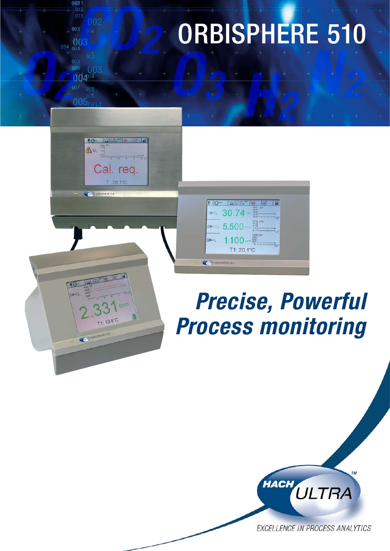# *O2 H2 O3 N2*  **CO2 2 ORBISPHERE 510**



口2: 区開 日

Cal. reg.  $T:20.1^{\circ}C$ 

 $\triangle$ o.

**CONTRACTOR STREET** 

## *Precise, Powerful Process monitoring*

lla

모<mark>장~ | 조</mark>명을 | 단계한

30.74 单

 $\overline{a}$  5.500

1100 T1: 20.1°C

 $1 \triangleright 0_2$ 

 $3\nu N$ 

CALIFE ORBISPHERE STO



EXCELLENCE IN PROCESS ANALYTICS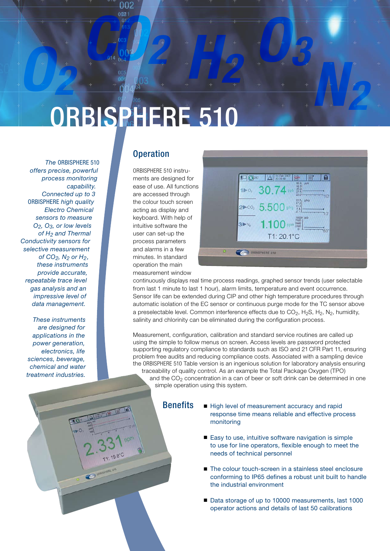

 $+$   $2012$ <br>  $+$   $013$ <br>  $003$ <br>  $+$   $000$ <br>  $+$   $000$ <br>  $+$   $000$ <br>  $+$   $000$ <br>  $+$ 

*The* ORBISPHERE 510 *offers precise, powerful process monitoring capability. Connected up to 3*  ORBISPHERE *high quality Electro Chemical sensors to measure O2, O3, or low levels of H2 and Thermal Conductivity sensors for selective measurement of CO2, N2 or H2, these instruments provide accurate, repeatable trace level gas analysis and an impressive level of data management.*

*These instruments are designed for applications in the power generation, electronics, life sciences, beverage, chemical and water treatment industries.*

#### **Operation**

ORBISPHERE 510 instruments are designed for ease of use. All functions are accessed through the colour touch screen acting as display and keyboard. With help of intuitive software the user can set-up the process parameters and alarms in a few minutes. In standard operation the main measurement window



*N2* 

continuously displays real time process readings, graphed sensor trends (user selectable from last 1 minute to last 1 hour), alarm limits, temperature and event occurrence. Sensor life can be extended during CIP and other high temperature procedures through automatic isolation of the EC sensor or continuous purge mode for the TC sensor above a preselectable level. Common interference effects due to  $CO<sub>2</sub>$ , H<sub>2</sub>S, H<sub>2</sub>, N<sub>2</sub>, humidity, salinity and chlorinity can be eliminated during the configuration process.

Measurement, configuration, calibration and standard service routines are called up using the simple to follow menus on screen. Access levels are password protected supporting regulatory compliance to standards such as ISO and 21 CFR Part 11, ensuring problem free audits and reducing compliance costs. Associated with a sampling device the ORBISPHERE 510 Table version is an ingenious solution for laboratory analysis ensuring traceability of quality control. As an example the Total Package Oxygen (TPO) and the  $CO<sub>2</sub>$  concentration in a can of beer or soft drink can be determined in one simple operation using this system.

**Benefits** 

- High level of measurement accuracy and rapid response time means reliable and effective process monitoring
- Easy to use, intuitive software navigation is simple to use for line operators, flexible enough to meet the needs of technical personnel
- The colour touch-screen in a stainless steel enclosure conforming to IP65 defines a robust unit built to handle the industrial environment
- Data storage of up to 10000 measurements, last 1000 operator actions and details of last 50 calibrations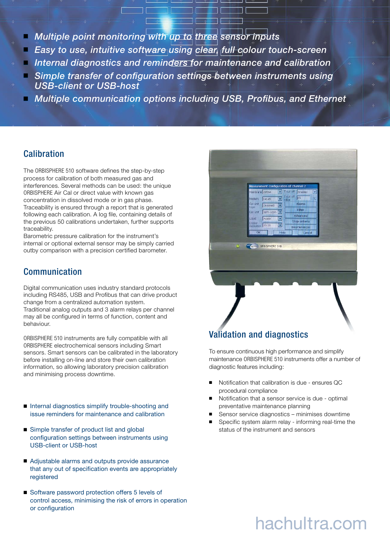- *Multiple point monitoring with up to three sensor inputs*
- **Easy to use, intuitive software using clear, full colour touch-screen**
- *Internal diagnostics and reminders for maintenance and calibration*
- *Simple transfer of configuration settings between instruments using USB-client or USB-host*
- **Multiple communication options including USB, Profibus, and Ethernet**

#### **Calibration**

The ORBISPHERE 510 software defines the step-by-step process for calibration of both measured gas and interferences. Several methods can be used: the unique ORBISPHERE Air Cal or direct value with known gas concentration in dissolved mode or in gas phase. Traceability is ensured through a report that is generated following each calibration. A log file, containing details of the previous 50 calibrations undertaken, further supports traceability.

Barometric pressure calibration for the instrument's internal or optional external sensor may be simply carried outby comparison with a precision certified barometer.

#### Communication

Digital communication uses industry standard protocols including RS485, USB and Profibus that can drive product change from a centralized automation system. Traditional analog outputs and 3 alarm relays per channel may all be configured in terms of function, content and behaviour.

ORBISPHERE 510 instruments are fully compatible with all Orbisphere electrochemical sensors including Smart sensors. Smart sensors can be calibrated in the laboratory before installing on-line and store their own calibration information, so allowing laboratory precision calibration and minimising process downtime.

- Internal diagnostics simplify trouble-shooting and issue reminders for maintenance and calibration
- Simple transfer of product list and global configuration settings between instruments using USB-client or USB-host
- Adjustable alarms and outputs provide assurance that any out of specification events are appropriately registered
- Software password protection offers 5 levels of control access, minimising the risk of errors in operation or configuration



#### Validation and diagnostics

To ensure continuous high performance and simplify maintenance ORBISPHERE 510 instruments offer a number of diagnostic features including:

- Notification that calibration is due ensures QC procedural compliance
- Notification that a sensor service is due optimal preventative maintenance planning
- Sensor service diagnostics minimises downtime
- Specific system alarm relay informing real-time the status of the instrument and sensors

### hachultra.com